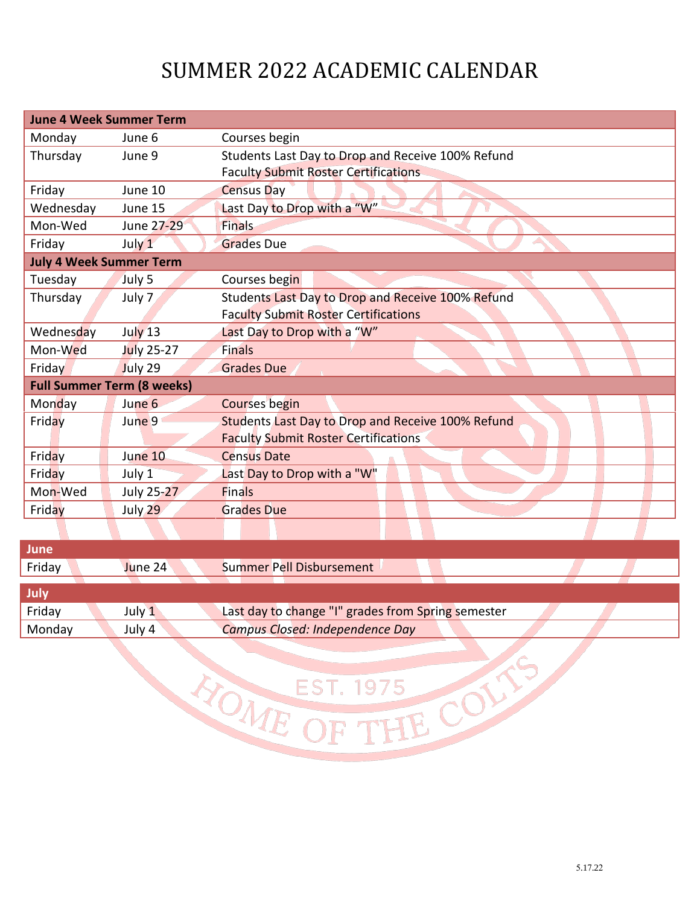## SUMMER 2022 ACADEMIC CALENDAR

| <b>June 4 Week Summer Term</b>    |            |                                                   |  |  |
|-----------------------------------|------------|---------------------------------------------------|--|--|
| Monday                            | June 6     | Courses begin                                     |  |  |
| Thursday                          | June 9     | Students Last Day to Drop and Receive 100% Refund |  |  |
|                                   |            | <b>Faculty Submit Roster Certifications</b>       |  |  |
| Friday                            | June 10    | <b>Census Day</b>                                 |  |  |
| Wednesday                         | June 15    | Last Day to Drop with a "W"                       |  |  |
| Mon-Wed                           | June 27-29 | <b>Finals</b>                                     |  |  |
| Friday                            | July $1$   | <b>Grades Due</b>                                 |  |  |
| <b>July 4 Week Summer Term</b>    |            |                                                   |  |  |
| Tuesday                           | July 5     | Courses begin                                     |  |  |
| Thursday                          | July 7     | Students Last Day to Drop and Receive 100% Refund |  |  |
|                                   |            | <b>Faculty Submit Roster Certifications</b>       |  |  |
| Wednesday                         | July 13    | Last Day to Drop with a "W"                       |  |  |
| Mon-Wed                           | July 25-27 | Finals                                            |  |  |
| Friday                            | July 29    | <b>Grades Due</b>                                 |  |  |
| <b>Full Summer Term (8 weeks)</b> |            |                                                   |  |  |
| Monday                            | June 6     | <b>Courses begin</b>                              |  |  |
| Friday                            | June 9     | Students Last Day to Drop and Receive 100% Refund |  |  |
|                                   |            | <b>Faculty Submit Roster Certifications</b>       |  |  |
| Friday                            | June 10    | <b>Census Date</b>                                |  |  |
| Friday                            | July 1     | Last Day to Drop with a "W"                       |  |  |
| Mon-Wed                           | July 25-27 | <b>Finals</b>                                     |  |  |
| Friday                            | July 29    | <b>Grades Due</b>                                 |  |  |
|                                   |            |                                                   |  |  |

| June   |         |                                                    |
|--------|---------|----------------------------------------------------|
| Friday | June 24 | Summer Pell Disbursement                           |
|        |         |                                                    |
| July.  |         |                                                    |
| Friday | July 1  | Last day to change "I" grades from Spring semester |
| Monday | July 4  | Campus Closed: Independence Day                    |

EST. 1975 COLTS

NOME